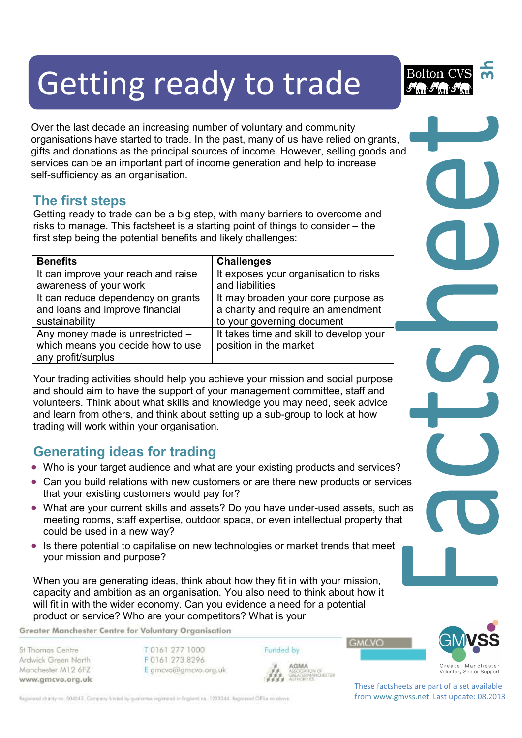# Getting ready to trade

Over the last decade an increasing number of voluntary and community organisations have started to trade. In the past, many of us have relied on grants, gifts and donations as the principal sources of income. However, selling goods and services can be an important part of income generation and help to increase self-sufficiency as an organisation.

#### **The first steps**

Getting ready to trade can be a big step, with many barriers to overcome and risks to manage. This factsheet is a starting point of things to consider – the first step being the potential benefits and likely challenges:

| <b>Benefits</b>                     | <b>Challenges</b>                       |
|-------------------------------------|-----------------------------------------|
| It can improve your reach and raise | It exposes your organisation to risks   |
| awareness of your work              | and liabilities                         |
| It can reduce dependency on grants  | It may broaden your core purpose as     |
| and loans and improve financial     | a charity and require an amendment      |
| sustainability                      | to your governing document              |
| Any money made is unrestricted -    | It takes time and skill to develop your |
| which means you decide how to use   | position in the market                  |
| any profit/surplus                  |                                         |

Your trading activities should help you achieve your mission and social purpose and should aim to have the support of your management committee, staff and volunteers. Think about what skills and knowledge you may need, seek advice and learn from others, and think about setting up a sub-group to look at how trading will work within your organisation.

## **Generating ideas for trading**

- Who is your target audience and what are your existing products and services?
- Can you build relations with new customers or are there new products or services that your existing customers would pay for?
- What are your current skills and assets? Do you have under-used assets, such as meeting rooms, staff expertise, outdoor space, or even intellectual property that could be used in a new way?
- Is there potential to capitalise on new technologies or market trends that meet your mission and purpose?

When you are generating ideas, think about how they fit in with your mission, capacity and ambition as an organisation. You also need to think about how it will fit in with the wider economy. Can you evidence a need for a potential product or service? Who are your competitors? What is your

Greater Manchester Centre for Voluntary Organisation

St Thomas Centre Ardwick Green North Manchester M12 6FZ www.gmcvo.org.uk T0161 277 1000 F0161 273 8296 E gmcvo@gmcvo.org.uk Funded by AGMA

GREATER MANCHESTER

**GMCVO** 



Greater Manchester<br>Voluntary Sector Support

**3h**

Bolton (

These factsheets are part of a set available from www.gmvss.net. Last update: 08.2013

Registered charity no. 504542. Company limited by guarantee registered in England no. 1223344. Registered Office as obove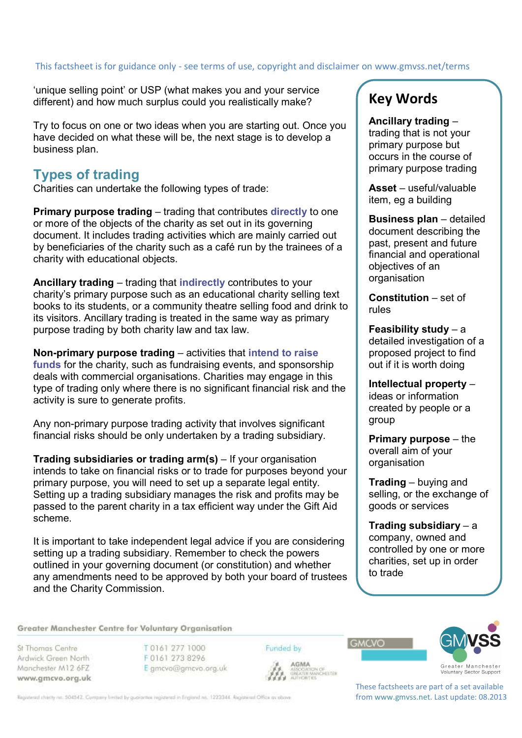# This factsheet is for guidance only - see terms of use, copyright and disclaimer on www.gmvss.net/terms

'unique selling point' or USP (what makes you and your service different) and how much surplus could you realistically make?

Try to focus on one or two ideas when you are starting out. Once you have decided on what these will be, the next stage is to develop a business plan.

#### **Types of trading**

Charities can undertake the following types of trade:

**Primary purpose trading** – trading that contributes **directly** to one or more of the objects of the charity as set out in its governing document. It includes trading activities which are mainly carried out by beneficiaries of the charity such as a café run by the trainees of a charity with educational objects.

**Ancillary trading** – trading that **indirectly** contributes to your charity's primary purpose such as an educational charity selling text books to its students, or a community theatre selling food and drink to its visitors. Ancillary trading is treated in the same way as primary purpose trading by both charity law and tax law.

**Non-primary purpose trading** – activities that **intend to raise funds** for the charity, such as fundraising events, and sponsorship deals with commercial organisations. Charities may engage in this type of trading only where there is no significant financial risk and the activity is sure to generate profits.

Any non-primary purpose trading activity that involves significant financial risks should be only undertaken by a trading subsidiary.

**Trading subsidiaries or trading arm(s)** – If your organisation intends to take on financial risks or to trade for purposes beyond your primary purpose, you will need to set up a separate legal entity. Setting up a trading subsidiary manages the risk and profits may be passed to the parent charity in a tax efficient way under the Gift Aid scheme.

It is important to take independent legal advice if you are considering setting up a trading subsidiary. Remember to check the powers outlined in your governing document (or constitution) and whether any amendments need to be approved by both your board of trustees and the Charity Commission.

### **Key Words**

**Ancillary trading** – trading that is not your primary purpose but occurs in the course of primary purpose trading

**Asset** – useful/valuable item, eg a building

**Business plan** – detailed document describing the past, present and future financial and operational objectives of an organisation

**Constitution** – set of rules

**Feasibility study** – a detailed investigation of a proposed project to find out if it is worth doing

**Intellectual property** – ideas or information created by people or a group

**Primary purpose** – the overall aim of your organisation

**Trading** – buying and selling, or the exchange of goods or services

**Trading subsidiary** – a company, owned and controlled by one or more charities, set up in order to trade

Greater Manchester Centre for Voluntary Organisation

St Thomas Centre Ardwick Green North Manchester M12 6FZ www.gmcvo.org.uk

T 0161 277 1000 F0161 273 8296 E gmcvo@gmcvo.org.uk Funded by

**AGMA** 



**GMCVO** 



These factsheets are part of a set available from www.gmvss.net. Last update: 08.2013

Registered charity no. 504542. Company limited by guarantee registered in England no. 1223344. Registered Office as obove